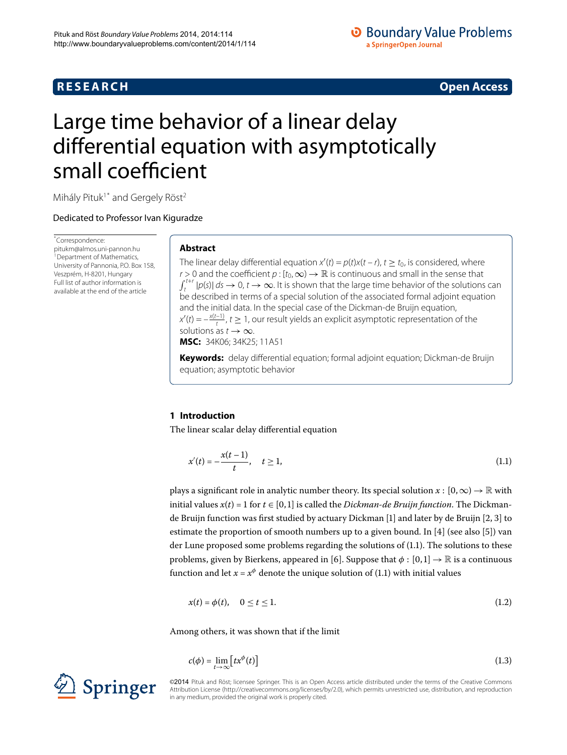# **R E S E A R C H Open Access**

# **O** Boundary Value Problems a SpringerOpen Journal

# <span id="page-0-0"></span>Large time behavior of a linear delay differential equation with asymptotically small coefficient

Mihály Pituk<sup>[1](#page-8-0)[\\*](#page-0-0)</sup> and Gergely Röst<sup>2</sup>

Dedicated to Professor Ivan Kiguradze

\* Correspondence: [pitukm@almos.uni-pannon.hu](mailto:pitukm@almos.uni-pannon.hu) <sup>1</sup> Department of Mathematics, University of Pannonia, P.O. Box 158, Veszprém, H-8201, Hungary Full list of author information is available at the end of the article

## **Abstract**

The linear delay differential equation  $x'(t) = p(t)x(t - r)$ ,  $t \ge t_0$ , is considered, where r > 0 and the coefficient  $p : [t_0, \infty) \to \mathbb{R}$  is continuous and small in the sense that  $\int$  $\int_{t}^{t+r} |p(s)| ds \to 0$ ,  $t \to \infty$ . It is shown that the large time behavior of the solutions can be described in terms of a special solution of the associated formal adjoint equation and the initial data. In the special case of the Dickman-de Bruijn equation,  $x'(t) = -\frac{x(t-1)}{t}$ ,  $t \geq 1$ , our result yields an explicit asymptotic representation of the solutions as  $t \to \infty$ .

**MSC:** 34K06; 34K25; 11A51

<span id="page-0-1"></span>**Keywords:** delay differential equation; formal adjoint equation; Dickman-de Bruijn equation; asymptotic behavior

# **1 Introduction**

The linear scalar delay differential equation

<span id="page-0-3"></span>
$$
x'(t) = -\frac{x(t-1)}{t}, \quad t \ge 1,
$$
\n(1.1)

plays a significant role in analytic number theory. Its special solution  $x : [0, \infty) \to \mathbb{R}$  with initial values  $x(t) = 1$  for  $t \in [0, 1]$  is called the *Dickman-de Bruijn function*. The Dickman-de Bruijn function was first studied by actuary Dickman [1[\]](#page-8-2) and later by de Bruijn [\[](#page-8-3)2, 3] to estimate the proportion of smooth numbers up to a given bound. In [4[\]](#page-8-6) (see also [5]) van der Lune proposed some problems regarding the solutions of  $(1.1)$ . The solutions to these problems, given by Bierkens, appeared in [6[\]](#page-8-7). Suppose that  $\phi$  :  $[0,1] \rightarrow \mathbb{R}$  is a continuous function and let  $x = x^{\phi}$  denote the unique solution of (1.1) with initial values

<span id="page-0-2"></span>
$$
x(t) = \phi(t), \quad 0 \le t \le 1. \tag{1.2}
$$

Among others, it was shown that if the limit

$$
c(\phi) = \lim_{t \to \infty} \left[ tx^{\phi}(t) \right] \tag{1.3}
$$

©2014 Pituk and Röst; licensee Springer. This is an Open Access article distributed under the terms of the Creative Commons Attribution License [\(http://creativecommons.org/licenses/by/2.0](http://creativecommons.org/licenses/by/2.0)), which permits unrestricted use, distribution, and reproduction in any medium, provided the original work is properly cited.

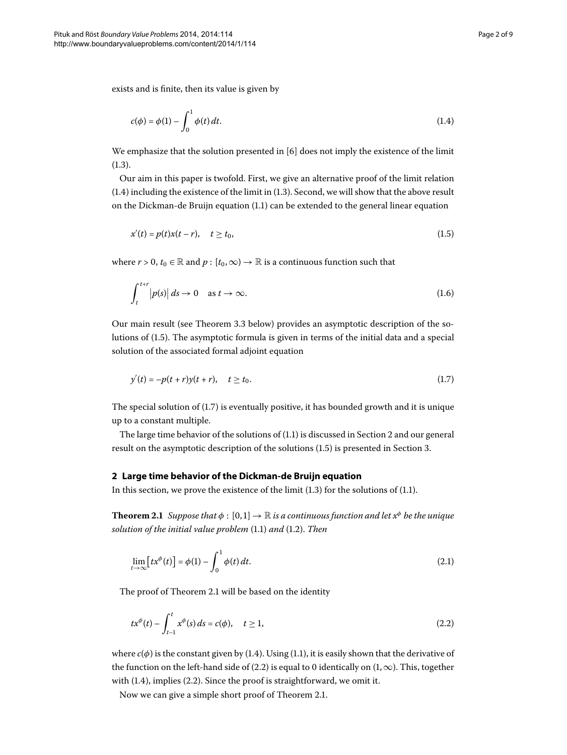exists and is finite, then its value is given by

<span id="page-1-1"></span><span id="page-1-0"></span>
$$
c(\phi) = \phi(1) - \int_0^1 \phi(t) \, dt. \tag{1.4}
$$

We emphasize that the solution presented in  $[6]$  $[6]$  does not imply the existence of the limit  $(1.3).$  $(1.3).$  $(1.3).$ 

Our aim in this paper is twofold. First, we give an alternative proof of the limit relation  $(1.4)$  $(1.4)$  $(1.4)$  including the existence of the limit in  $(1.3)$ . Second, we will show that the above result on the Dickman-de Bruijn equation  $(1.1)$  $(1.1)$  $(1.1)$  can be extended to the general linear equation

<span id="page-1-7"></span>
$$
x'(t) = p(t)x(t - r), \quad t \ge t_0,
$$
\n(1.5)

where  $r > 0$ ,  $t_0 \in \mathbb{R}$  and  $p : [t_0, \infty) \to \mathbb{R}$  is a continuous function such that

<span id="page-1-2"></span>
$$
\int_{t}^{t+r} |p(s)| ds \to 0 \quad \text{as } t \to \infty.
$$
 (1.6)

Our main result (see Theorem 3[.](#page-6-0)3 below) provides an asymptotic description of the so-lutions of (1[.](#page-1-1)5). The asymptotic formula is given in terms of the initial data and a special solution of the associated formal adjoint equation

$$
y'(t) = -p(t+r)y(t+r), \quad t \ge t_0.
$$
\n(1.7)

<span id="page-1-3"></span>The special solution of  $(1.7)$  is eventually positive, it has bounded growth and it is unique up to a constant multiple.

<span id="page-1-4"></span>The large time behavior of the solutions of  $(1.1)$  is discussed in Section 2 and our general result on the asymptotic description of the solutions (1[.](#page-1-1)5) is presented in Section 3.

### **2 Large time behavior of the Dickman-de Bruijn equation**

In this section, we prove the existence of the limit  $(1.3)$  for the solutions of  $(1.1)$ .

**Theorem 2.1** *Suppose that*  $\phi$  :  $[0,1] \rightarrow \mathbb{R}$  *is a continuous function and let*  $x^{\phi}$  *be the unique solution of the initial value problem* (1[.](#page-0-3)1) and (1.2). Then

<span id="page-1-6"></span><span id="page-1-5"></span>
$$
\lim_{t \to \infty} \left[ tx^{\phi}(t) \right] = \phi(1) - \int_0^1 \phi(t) dt.
$$
\n(2.1)

The proof of Theorem 2[.](#page-1-4)1 will be based on the identity

$$
tx^{\phi}(t) - \int_{t-1}^{t} x^{\phi}(s) ds = c(\phi), \quad t \ge 1,
$$
\n(2.2)

where  $c(\phi)$  is the constant given by (1[.](#page-1-0)4). Using (1.1), it is easily shown that the derivative of the function on the left-hand side of (2.2) is equal to 0 identically on  $(1, \infty)$ . This, together with  $(1.4)$ , implies  $(2.2)$ . Since the proof is straightforward, we omit it.

Now we can give a simple short proof of Theorem 2[.](#page-1-4)1.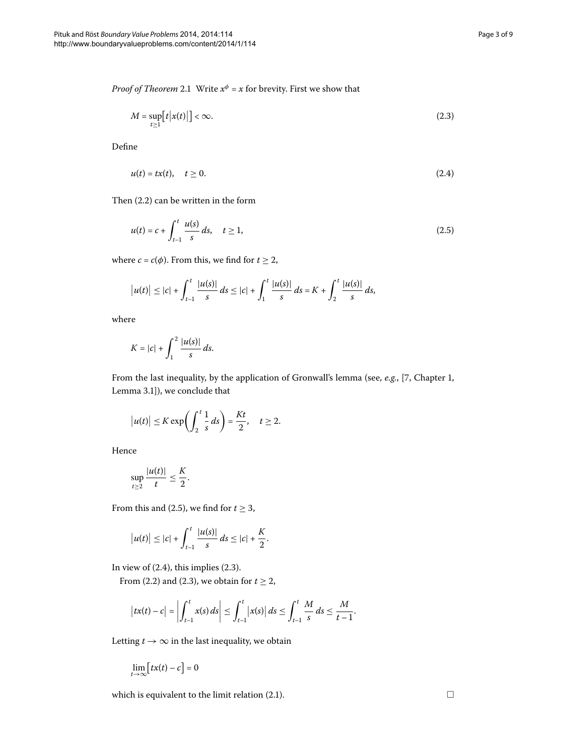*Proof of Theorem* 2[.](#page-1-4)1 Write  $x^{\phi} = x$  for brevity. First we show that

<span id="page-2-2"></span><span id="page-2-1"></span>
$$
M = \sup_{t \ge 1} [t |x(t)|] < \infty. \tag{2.3}
$$

Define

<span id="page-2-0"></span>
$$
u(t) = tx(t), \quad t \ge 0. \tag{2.4}
$$

Then  $(2.2)$  can be written in the form

$$
u(t) = c + \int_{t-1}^{t} \frac{u(s)}{s} ds, \quad t \ge 1,
$$
\n(2.5)

where *c* = *c*( $\phi$ ). From this, we find for *t*  $\geq$  2,

$$
|u(t)| \leq |c| + \int_{t-1}^t \frac{|u(s)|}{s} ds \leq |c| + \int_1^t \frac{|u(s)|}{s} ds = K + \int_2^t \frac{|u(s)|}{s} ds,
$$

where

$$
K=|c|+\int_1^2\frac{|u(s)|}{s}\,ds.
$$

From the last inequality, by the application of Gronwall's lemma (see, *e.g.*, [\[](#page-8-8)7, Chapter 1, Lemma 3.1]), we conclude that

$$
|u(t)| \leq K \exp\biggl(\int_2^t \frac{1}{s} \, ds\biggr) = \frac{Kt}{2}, \quad t \geq 2.
$$

Hence

$$
\sup_{t\geq 2}\frac{|u(t)|}{t}\leq \frac{K}{2}.
$$

From this and (2.5), we find for  $t \geq 3$ ,

$$
|u(t)| \leq |c| + \int_{t-1}^{t} \frac{|u(s)|}{s} ds \leq |c| + \frac{K}{2}.
$$

In view of  $(2.4)$ , this implies  $(2.3)$ .

From (2[.](#page-1-5)2) and (2.3), we obtain for  $t \ge 2$ ,

$$
|tx(t) - c| = \left| \int_{t-1}^{t} x(s) ds \right| \leq \int_{t-1}^{t} |x(s)| ds \leq \int_{t-1}^{t} \frac{M}{s} ds \leq \frac{M}{t-1}.
$$

Letting  $t \to \infty$  in the last inequality, we obtain

$$
\lim_{t\to\infty}[tx(t)-c]=0
$$

which is equivalent to the limit relation (2.1).  $\Box$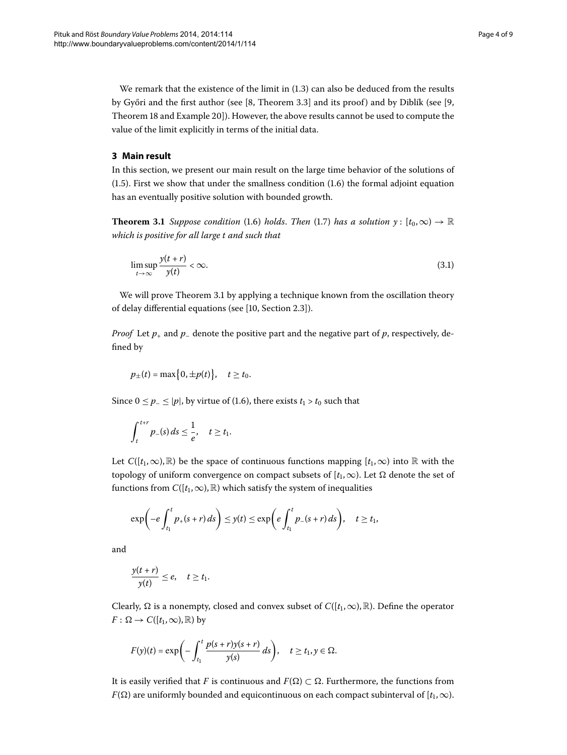<span id="page-3-0"></span>We remark that the existence of the limit in  $(1.3)$  $(1.3)$  $(1.3)$  can also be deduced from the results by Győri and the first author (see  $[8,$  $[8,$  Theorem 3.3] and its proof) and by Diblík (see  $[9,$ Theorem 18 and Example 20]). However, the above results cannot be used to compute the value of the limit explicitly in terms of the initial data.

## <span id="page-3-1"></span>**3 Main result**

In this section, we present our main result on the large time behavior of the solutions of  $(1.5)$  $(1.5)$  $(1.5)$ . First we show that under the smallness condition  $(1.6)$  the formal adjoint equation has an eventually positive solution with bounded growth.

**Theorem 3[.](#page-1-2)1** *Suppose condition* (1.6) *holds*. *Then* (1.7) *has a solution*  $y: [t_0, \infty) \to \mathbb{R}$ *which is positive for all large t and such that*

<span id="page-3-2"></span>
$$
\limsup_{t \to \infty} \frac{y(t+r)}{y(t)} < \infty. \tag{3.1}
$$

We will prove Theorem 3[.](#page-3-1)1 by applying a technique known from the oscillation theory of delay differential equations (see [\[](#page-8-11)10, Section 2.3]).

*Proof* Let  $p_+$  and  $p_-$  denote the positive part and the negative part of  $p$ , respectively, defined by

$$
p_{\pm}(t) = \max\big\{0, \pm p(t)\big\}, \quad t \ge t_0.
$$

Since  $0 \le p_- \le |p|$ , by virtue of (1.6), there exists  $t_1 > t_0$  such that

$$
\int_t^{t+r} p_-(s) \, ds \leq \frac{1}{e}, \quad t \geq t_1.
$$

Let  $C([t_1,\infty),\mathbb{R})$  be the space of continuous functions mapping  $[t_1,\infty)$  into  $\mathbb R$  with the topology of uniform convergence on compact subsets of  $[t_1, \infty)$ . Let  $\Omega$  denote the set of functions from  $C([t_1,\infty),\mathbb{R})$  which satisfy the system of inequalities

$$
\exp\biggl(-e\int_{t_1}^t p_+(s+r)\,ds\biggr)\leq y(t)\leq \exp\biggl(e\int_{t_1}^t p_-(s+r)\,ds\biggr),\quad t\geq t_1,
$$

and

$$
\frac{y(t+r)}{y(t)} \leq e, \quad t \geq t_1.
$$

Clearly,  $\Omega$  is a nonempty, closed and convex subset of  $C([t_1,\infty),\mathbb{R})$ . Define the operator  $F: \Omega \to C([t_1,\infty),\mathbb{R})$  by

$$
F(y)(t) = \exp\bigg(-\int_{t_1}^t \frac{p(s+r)y(s+r)}{y(s)}\,ds\bigg), \quad t \geq t_1, y \in \Omega.
$$

It is easily verified that *F* is continuous and  $F(\Omega) \subset \Omega$ . Furthermore, the functions from *F*( $\Omega$ ) are uniformly bounded and equicontinuous on each compact subinterval of [ $t_1$ , $\infty$ ).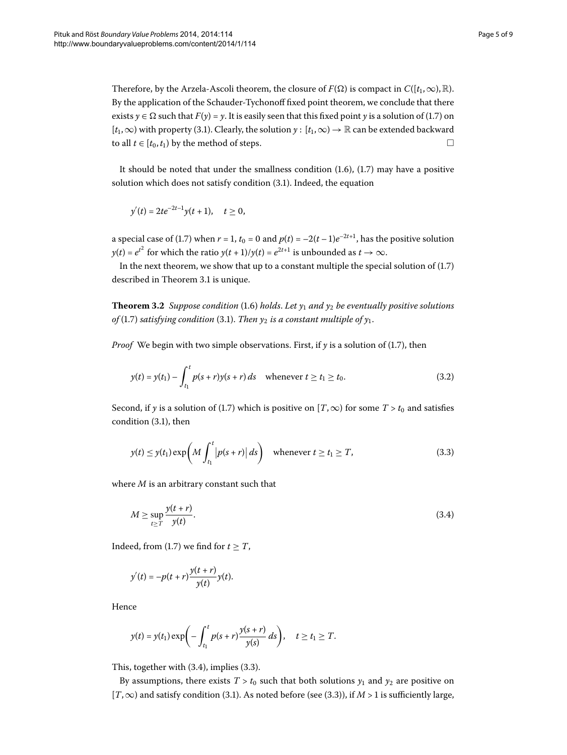Therefore, by the Arzela-Ascoli theorem, the closure of  $F(\Omega)$  is compact in  $C([t_1,\infty),\mathbb{R})$ . By the application of the Schauder-Tychonoff fixed point theorem, we conclude that there exists  $\gamma \in \Omega$  such that  $F(\gamma) = \gamma$ . It is easily seen that this fixed point  $\gamma$  is a solution of (1.7) on  $[t_1,\infty)$  with property (3[.](#page-3-2)1). Clearly, the solution  $\gamma$  :  $[t_1,\infty) \to \mathbb{R}$  can be extended backward to all *t* ∈  $[t_0, t_1)$  by the method of steps.  $□$ 

It should be noted that under the smallness condition  $(1.6)$ ,  $(1.7)$  may have a positive solution which does not satisfy condition  $(3.1)$  $(3.1)$  $(3.1)$ . Indeed, the equation

$$
y'(t) = 2te^{-2t-1}y(t+1), \quad t \ge 0,
$$

<span id="page-4-3"></span>a special case of (1.7) when  $r = 1$ ,  $t_0 = 0$  and  $p(t) = -2(t-1)e^{-2t+1}$ , has the positive solution  $y(t) = e^{t^2}$  for which the ratio  $y(t + 1)/y(t) = e^{2t+1}$  is unbounded as  $t \to \infty$ .

In the next theorem, we show that up to a constant multiple the special solution of  $(1.7)$  $(1.7)$  $(1.7)$ described in Theorem 3[.](#page-3-1)1 is unique.

**Theorem 3.2** *Suppose condition* (1.6) *holds*. Let  $y_1$  *and*  $y_2$  *be eventually positive solutions of* (1[.](#page-3-2)7) *satisfying condition* (3.1). *Then*  $y_2$  *is a constant multiple of*  $y_1$ *.* 

*Proof* We begin with two simple observations[.](#page-1-2) First, if  $\gamma$  is a solution of (1.7), then

<span id="page-4-2"></span><span id="page-4-1"></span>
$$
y(t) = y(t_1) - \int_{t_1}^t p(s+r)y(s+r) \, ds \quad \text{whenever } t \ge t_1 \ge t_0. \tag{3.2}
$$

Second, if *y* is a solution of (1.7) which is positive on [*T*,  $\infty$ ) for some *T* > *t*<sub>0</sub> and satisfies condition  $(3.1)$ , then

<span id="page-4-0"></span>
$$
y(t) \le y(t_1) \exp\left(M \int_{t_1}^t \left| p(s+r) \right| ds\right) \quad \text{whenever } t \ge t_1 \ge T,
$$
\n(3.3)

where *M* is an arbitrary constant such that

$$
M \ge \sup_{t \ge T} \frac{y(t+r)}{y(t)}.\tag{3.4}
$$

Indeed, from (1[.](#page-1-2)7) we find for  $t \geq T$ ,

$$
y'(t) = -p(t+r)\frac{y(t+r)}{y(t)}y(t).
$$

Hence

$$
y(t) = y(t_1) \exp\biggl(-\int_{t_1}^t p(s+r) \frac{y(s+r)}{y(s)} ds\biggr), \quad t \geq t_1 \geq T.
$$

This, together with  $(3.4)$  $(3.4)$  $(3.4)$ , implies  $(3.3)$ .

By assumptions, there exists  $T > t_0$  such that both solutions  $y_1$  and  $y_2$  are positive on [ $T$ , $\infty$ ) and satisfy condition (3[.](#page-3-2)1). As noted before (see (3.3)), if *M* > 1 is sufficiently large,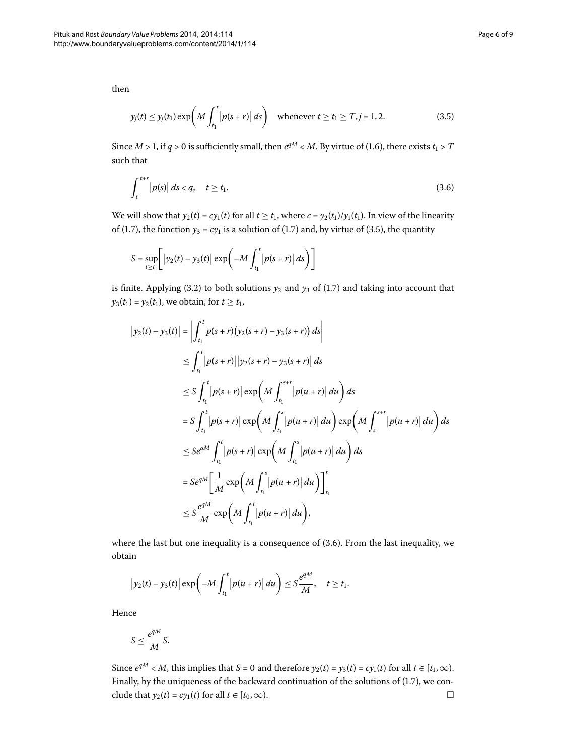then

<span id="page-5-1"></span><span id="page-5-0"></span>
$$
y_j(t) \le y_j(t_1) \exp\left(M \int_{t_1}^t |p(s+r)| ds\right) \quad \text{whenever } t \ge t_1 \ge T, j = 1, 2. \tag{3.5}
$$

Since  $M > 1$ , if  $q > 0$  is sufficiently small, then  $e^{qM} < M$ . By virtue of (1.6), there exists  $t_1 > T$ such that

$$
\int_{t}^{t+r} |p(s)| ds < q, \quad t \ge t_1. \tag{3.6}
$$

We will show that  $y_2(t) = cy_1(t)$  for all  $t \ge t_1$ , where  $c = y_2(t_1)/y_1(t_1)$ . In view of the linearity of (1.7), the function  $y_3 = cy_1$  is a solution of (1.7) and, by virtue of (3.5), the quantity

$$
S = \sup_{t \ge t_1} \left[ \left| y_2(t) - y_3(t) \right| \exp \left( -M \int_{t_1}^t \left| p(s+r) \right| ds \right) \right]
$$

is finite[.](#page-1-2) Applying (3.2) to both solutions  $y_2$  and  $y_3$  of (1.7) and taking into account that *y*<sub>3</sub>(*t*<sub>1</sub>) = *y*<sub>2</sub>(*t*<sub>1</sub>), we obtain, for *t*  $\ge t_1$ ,

$$
|y_2(t) - y_3(t)| = \left| \int_{t_1}^t p(s+r)(y_2(s+r) - y_3(s+r)) ds \right|
$$
  
\n
$$
\leq \int_{t_1}^t |p(s+r)||y_2(s+r) - y_3(s+r)| ds
$$
  
\n
$$
\leq S \int_{t_1}^t |p(s+r)| \exp\left(M \int_{t_1}^{s+r} |p(u+r)| du\right) ds
$$
  
\n
$$
= S \int_{t_1}^t |p(s+r)| \exp\left(M \int_{t_1}^s |p(u+r)| du\right) \exp\left(M \int_{s}^{s+r} |p(u+r)| du\right) ds
$$
  
\n
$$
\leq S e^{qM} \int_{t_1}^t |p(s+r)| \exp\left(M \int_{t_1}^s |p(u+r)| du\right) ds
$$
  
\n
$$
= S e^{qM} \left[ \frac{1}{M} \exp\left(M \int_{t_1}^s |p(u+r)| du\right) \right]_{t_1}^t
$$
  
\n
$$
\leq S \frac{e^{qM}}{M} \exp\left(M \int_{t_1}^t |p(u+r)| du\right),
$$

where the last but one inequality is a consequence of  $(3.6)$ . From the last inequality, we obtain

$$
\left|y_2(t)-y_3(t)\right|\exp\left(-M\int_{t_1}^t\left|p(u+r)\right|du\right)\leq S\frac{e^{qM}}{M},\quad t\geq t_1.
$$

Hence

$$
S \le \frac{e^{qM}}{M}S.
$$

Since  $e^{qM} < M$ , this implies that *S* = 0 and therefore  $y_2(t) = y_3(t) = cy_1(t)$  for all  $t \in [t_1, \infty)$ . Finally, by the uniqueness of the backward continuation of the solutions of  $(1.7)$  $(1.7)$  $(1.7)$ , we conclude that  $y_2(t) = cy_1(t)$  for all  $t \in [t_0, \infty)$ .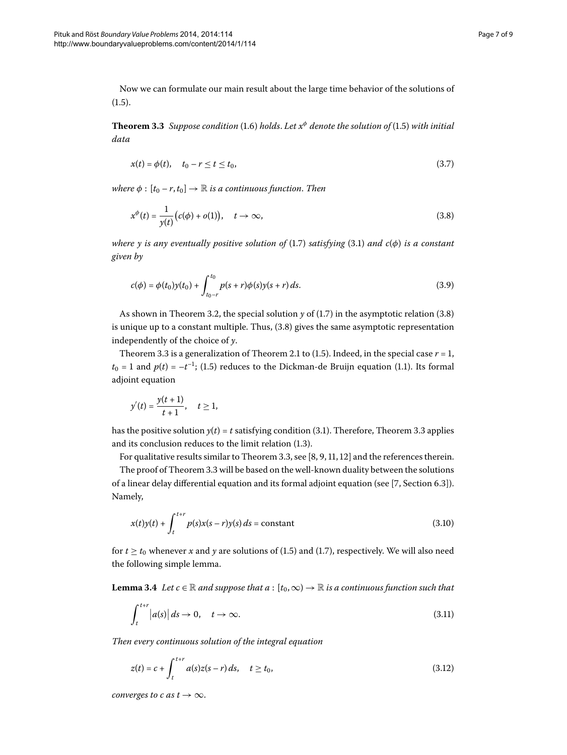<span id="page-6-0"></span>Now we can formulate our main result about the large time behavior of the solutions of  $(1.5).$  $(1.5).$  $(1.5).$ 

**Theorem 3.3** Suppose condition (1.6) holds. Let  $x^{\phi}$  denote the solution of (1.5) with initial *data*

<span id="page-6-4"></span><span id="page-6-1"></span>
$$
x(t) = \phi(t), \quad t_0 - r \le t \le t_0,
$$
\n(3.7)

*where*  $\phi$  :  $[t_0 - r, t_0] \rightarrow \mathbb{R}$  *is a continuous function. Then* 

<span id="page-6-6"></span>
$$
x^{\phi}(t) = \frac{1}{y(t)} \big(c(\phi) + o(1)\big), \quad t \to \infty,
$$
\n(3.8)

*where y is any eventually positive solution of* (1[.](#page-1-2)7) *satisfying* (3.1) *and c*( $\phi$ ) *is a constant given by*

$$
c(\phi) = \phi(t_0)y(t_0) + \int_{t_0 - r}^{t_0} p(s+r)\phi(s)y(s+r) ds.
$$
\n(3.9)

As shown in Theorem 3[.](#page-6-1)2, the special solution  $y$  of (1.7) in the asymptotic relation (3.8) is unique up to a constant multiple[.](#page-6-1) Thus,  $(3.8)$  gives the same asymptotic representation independently of the choice of *y*.

Theorem 3[.](#page-1-4)3 is a generalization of Theorem 2.1 to (1.5). Indeed, in the special case  $r = 1$ ,  $t_0 = 1$  and  $p(t) = -t^{-1}$ ; (1[.](#page-0-1)5) reduces to the Dickman-de Bruijn equation (1.1). Its formal adjoint equation

<span id="page-6-5"></span>
$$
y'(t) = \frac{y(t+1)}{t+1}, \quad t \ge 1,
$$

has the positive solution  $y(t) = t$  satisfying condition (3[.](#page-6-0)1). Therefore, Theorem 3.3 applies and its conclusion reduces to the limit relation  $(1.3)$ .

For qualitative results similar to Theorem 3[.](#page-6-0)3[,](#page-8-10) see  $[8, 9, 11, 12]$  and the references therein.

<span id="page-6-7"></span>The proof of Theorem 3[.](#page-6-0)3 will be based on the well-known duality between the solutions of a linear delay differential equation and its formal adjoint equation (see [\[](#page-8-8)7, Section 6.3]). Namely,

<span id="page-6-2"></span>
$$
x(t)y(t) + \int_{t}^{t+r} p(s)x(s-r)y(s) ds = \text{constant}
$$
\n(3.10)

for  $t \ge t_0$  whenever *x* and *y* are solutions of (1[.](#page-1-2)5) and (1.7), respectively. We will also need the following simple lemma.

**Lemma 3.4** Let  $c \in \mathbb{R}$  and suppose that  $a : [t_0, \infty) \to \mathbb{R}$  is a continuous function such that

<span id="page-6-3"></span>
$$
\int_{t}^{t+r} |a(s)| ds \to 0, \quad t \to \infty.
$$
\n(3.11)

*Then every continuous solution of the integral equation*

$$
z(t) = c + \int_{t}^{t+r} a(s)z(s-r) \, ds, \quad t \ge t_0,
$$
\n(3.12)

*converges to c as t*  $\rightarrow \infty$ .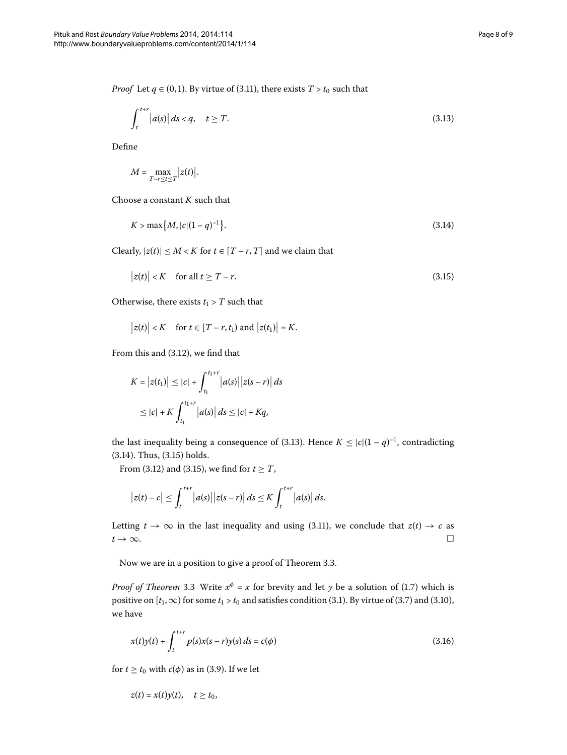*Proof* Let  $q \in (0, 1)$ . By virtue of (3.11), there exists  $T > t_0$  such that

<span id="page-7-0"></span>
$$
\int_{t}^{t+r} |a(s)| ds < q, \quad t \ge T. \tag{3.13}
$$

Define

<span id="page-7-2"></span><span id="page-7-1"></span>
$$
M = \max_{T-r \leq t \leq T} |z(t)|.
$$

Choose a constant *K* such that

$$
K > \max\{M, |c|(1-q)^{-1}\}.
$$
\n(3.14)

Clearly,  $|z(t)| \leq M < K$  for  $t \in [T - r, T]$  and we claim that

$$
|z(t)| < K \quad \text{for all } t \ge T - r. \tag{3.15}
$$

Otherwise, there exists  $t_1 > T$  such that

$$
|z(t)| < K
$$
 for  $t \in [T - r, t_1)$  and  $|z(t_1)| = K$ .

From this and  $(3.12)$  $(3.12)$  $(3.12)$ , we find that

$$
K = |z(t_1)| \le |c| + \int_{t_1}^{t_1+r} |a(s)||z(s - r)| ds
$$
  
 
$$
\le |c| + K \int_{t_1}^{t_1+r} |a(s)| ds \le |c| + Kq,
$$

the last inequality being a consequence of (3[.](#page-7-0)13). Hence  $K \leq |c|(1 - q)^{-1}$ , contradicting  $(3.14)$  $(3.14)$  $(3.14)$ . Thus,  $(3.15)$  holds.

From (3.12) and (3.15), we find for  $t \geq T$ ,

<span id="page-7-3"></span>
$$
\left|z(t)-c\right|\leq \int_{t}^{t+r}\left|a(s)\right|\left|z(s-r)\right|ds\leq K\int_{t}^{t+r}\left|a(s)\right|ds.
$$

Letting  $t \to \infty$  in the last inequality and using (3.11), we conclude that  $z(t) \to c$  as  $t \to \infty$ .

Now we are in a position to give a proof of Theorem 3.3.

*Proof of Theorem* 3[.](#page-1-2)3 Write  $x^{\phi} = x$  for brevity and let *y* be a solution of (1.7) which is positive on  $[t_1,\infty)$  for some  $t_1 > t_0$  and satisfies condition (3[.](#page-3-2)1). By virtue of (3.7) and (3.10), we have

$$
x(t)y(t) + \int_{t}^{t+r} p(s)x(s-r)y(s) ds = c(\phi)
$$
\n(3.16)

for  $t \ge t_0$  with  $c(\phi)$  as in (3.9). If we let

$$
z(t) = x(t)y(t), \quad t \ge t_0,
$$